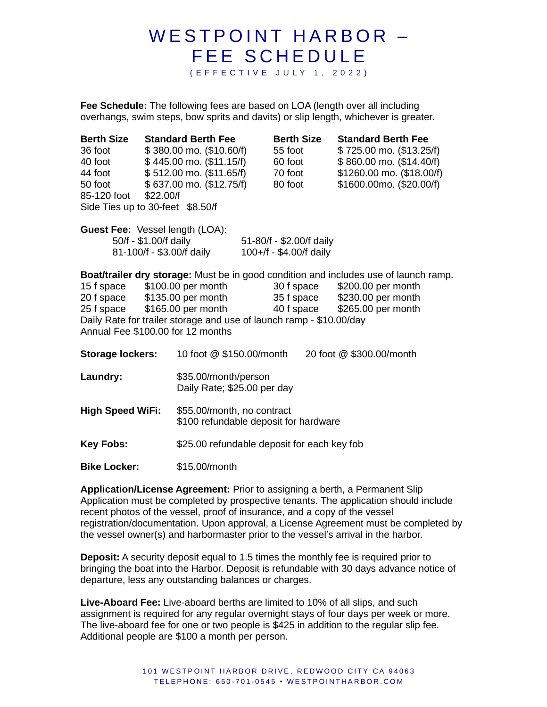## WESTPOINT HARBOR -FEE SCHEDULE ( E F F E C T I V E J U L Y 1 , 2 0 2 2 )

**Fee Schedule:** The following fees are based on LOA (length over all including overhangs, swim steps, bow sprits and davits) or slip length, whichever is greater.

| <b>Berth Size</b><br>36 foot<br>40 foot<br>85-120 foot \$22.00/f<br>Side Ties up to 30-feet \$8.50/f                                         |  | <b>Standard Berth Fee</b><br>\$380.00 mo. (\$10.60/f)<br>\$445.00 mo. (\$11.15/f)<br>44 foot \$512.00 mo. (\$11.65/f)<br>50 foot \$ 637.00 mo. (\$12.75/f)             |  | <b>Berth Size</b><br>55 foot<br>60 foot<br>70 foot<br>80 foot |  | <b>Standard Berth Fee</b><br>\$725.00 mo. (\$13.25/f)<br>$$860.00$ mo. $($14.40/f)$<br>\$1260.00 mo. (\$18.00/f)<br>\$1600.00mo. (\$20.00/f)                                                   |
|----------------------------------------------------------------------------------------------------------------------------------------------|--|------------------------------------------------------------------------------------------------------------------------------------------------------------------------|--|---------------------------------------------------------------|--|------------------------------------------------------------------------------------------------------------------------------------------------------------------------------------------------|
| Guest Fee: Vessel length (LOA):<br>50/f - \$1.00/f daily<br>51-80/f - \$2.00/f daily<br>81-100/f - \$3.00/f daily<br>100+/f - \$4.00/f daily |  |                                                                                                                                                                        |  |                                                               |  |                                                                                                                                                                                                |
| Annual Fee \$100.00 for 12 months                                                                                                            |  | 15 f space \$100.00 per month<br>20 f space \$135.00 per month<br>25 f space \$165.00 per month<br>Daily Rate for trailer storage and use of launch ramp - \$10.00/day |  |                                                               |  | <b>Boat/trailer dry storage:</b> Must be in good condition and includes use of launch ramp.<br>30 f space \$200.00 per month<br>35 f space \$230.00 per month<br>40 f space \$265.00 per month |
| <b>Storage lockers:</b>                                                                                                                      |  | 10 foot @ \$150.00/month<br>20 foot @ \$300.00/month                                                                                                                   |  |                                                               |  |                                                                                                                                                                                                |
| Laundry:                                                                                                                                     |  | \$35.00/month/person<br>Daily Rate; \$25.00 per day                                                                                                                    |  |                                                               |  |                                                                                                                                                                                                |
| <b>High Speed WiFi:</b>                                                                                                                      |  | \$55.00/month, no contract<br>\$100 refundable deposit for hardware                                                                                                    |  |                                                               |  |                                                                                                                                                                                                |
| <b>Key Fobs:</b>                                                                                                                             |  | \$25.00 refundable deposit for each key fob                                                                                                                            |  |                                                               |  |                                                                                                                                                                                                |
| <b>Bike Locker:</b>                                                                                                                          |  | \$15.00/month                                                                                                                                                          |  |                                                               |  |                                                                                                                                                                                                |

**Application/License Agreement:** Prior to assigning a berth, a Permanent Slip Application must be completed by prospective tenants. The application should include recent photos of the vessel, proof of insurance, and a copy of the vessel registration/documentation. Upon approval, a License Agreement must be completed by the vessel owner(s) and harbormaster prior to the vessel's arrival in the harbor.

**Deposit:** A security deposit equal to 1.5 times the monthly fee is required prior to bringing the boat into the Harbor. Deposit is refundable with 30 days advance notice of departure, less any outstanding balances or charges.

**Live-Aboard Fee:** Live-aboard berths are limited to 10% of all slips, and such assignment is required for any regular overnight stays of four days per week or more. The live-aboard fee for one or two people is \$425 in addition to the regular slip fee. Additional people are \$100 a month per person.